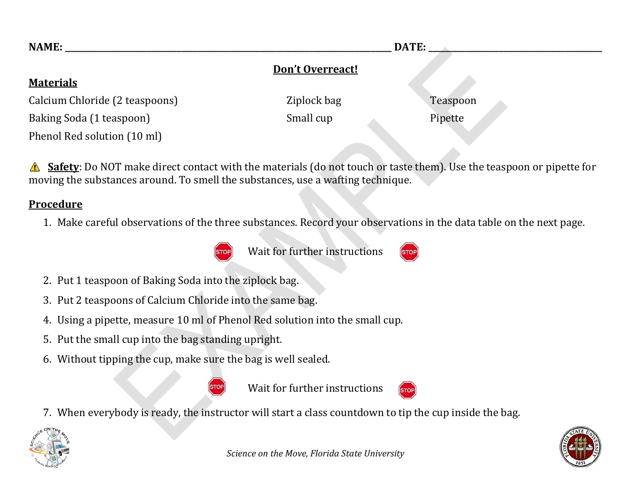| <b>NAME:</b>                   | DATE:            |          |
|--------------------------------|------------------|----------|
|                                | Don't Overreact! |          |
| <b>Materials</b>               |                  |          |
| Calcium Chloride (2 teaspoons) | Ziplock bag      | Teaspoon |
| Baking Soda (1 teaspoon)       | Small cup        | Pipette  |
| Phenol Red solution (10 ml)    |                  |          |

**Safety**: Do NOT make direct contact with the materials (do not touch or taste them). Use the teaspoon or pipette for  $\sqrt{N}$ moving the substances around. To smell the substances, use a wafting technique.

## **Procedure**

1. Make careful observations of the three substances. Record your observations in the data table on the next page.



Wait for further instructions



- 2. Put 1 teaspoon of Baking Soda into the ziplock bag.
- 3. Put 2 teaspoons of Calcium Chloride into the same bag.
- 4. Using a pipette, measure 10 ml of Phenol Red solution into the small cup.
- 5. Put the small cup into the bag standing upright.
- 6. Without tipping the cup, make sure the bag is well sealed.



Wait for further instructions

7. When everybody is ready, the instructor will start a class countdown to tip the cup inside the bag.